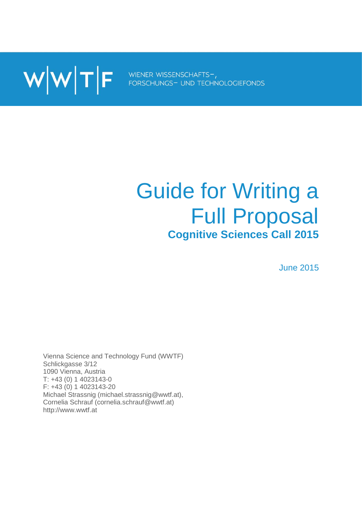

# Guide for Writing a Full Proposal **Cognitive Sciences Call 2015**

June 2015

Vienna Science and Technology Fund (WWTF) Schlickgasse 3/12 1090 Vienna, Austria T: +43 (0) 1 4023143-0 F: +43 (0) 1 4023143-20 Michael Strassnig (michael.strassnig@wwtf.at), Cornelia Schrauf (cornelia.schrauf@wwtf.at) http://www.wwtf.at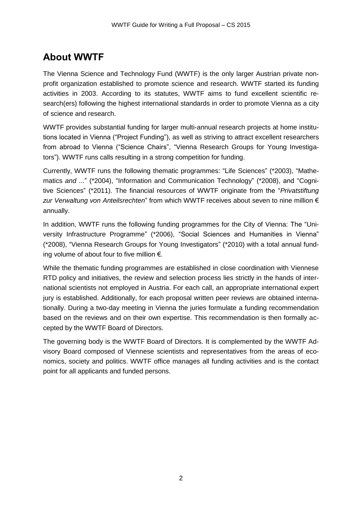## **About WWTF**

The Vienna Science and Technology Fund (WWTF) is the only larger Austrian private nonprofit organization established to promote science and research. WWTF started its funding activities in 2003. According to its statutes, WWTF aims to fund excellent scientific research(ers) following the highest international standards in order to promote Vienna as a city of science and research.

WWTF provides substantial funding for larger multi-annual research projects at home institutions located in Vienna ("Project Funding"), as well as striving to attract excellent researchers from abroad to Vienna ("Science Chairs", "Vienna Research Groups for Young Investigators"). WWTF runs calls resulting in a strong competition for funding.

Currently, WWTF runs the following thematic programmes: "Life Sciences" (\*2003), "Mathematics *and* ..." (\*2004), "Information and Communication Technology" (\*2008), and "Cognitive Sciences" (\*2011). The financial resources of WWTF originate from the "*Privatstiftung zur Verwaltung von Anteilsrechten*" from which WWTF receives about seven to nine million € annually.

In addition, WWTF runs the following funding programmes for the City of Vienna: The "University Infrastructure Programme" (\*2006), "Social Sciences and Humanities in Vienna" (\*2008), "Vienna Research Groups for Young Investigators" (\*2010) with a total annual funding volume of about four to five million €.

While the thematic funding programmes are established in close coordination with Viennese RTD policy and initiatives, the review and selection process lies strictly in the hands of international scientists not employed in Austria. For each call, an appropriate international expert jury is established. Additionally, for each proposal written peer reviews are obtained internationally. During a two-day meeting in Vienna the juries formulate a funding recommendation based on the reviews and on their own expertise. This recommendation is then formally accepted by the WWTF Board of Directors.

The governing body is the WWTF Board of Directors. It is complemented by the WWTF Advisory Board composed of Viennese scientists and representatives from the areas of economics, society and politics. WWTF office manages all funding activities and is the contact point for all applicants and funded persons.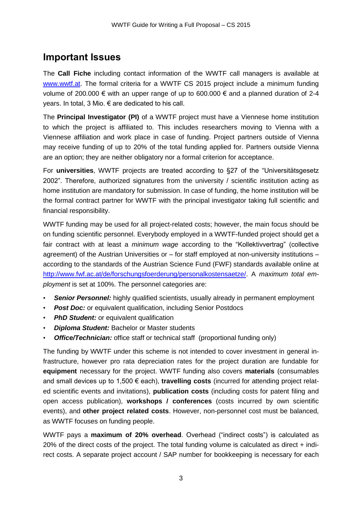## **Important Issues**

The **Call Fiche** including contact information of the WWTF call managers is available at [www.wwtf.at.](http://www.wwtf.at/) The formal criteria for a WWTF CS 2015 project include a minimum funding volume of 200.000 € with an upper range of up to 600.000 € and a planned duration of 2-4 years. In total, 3 Mio. € are dedicated to his call.

The **Principal Investigator (PI)** of a WWTF project must have a Viennese home institution to which the project is affiliated to. This includes researchers moving to Vienna with a Viennese affiliation and work place in case of funding. Project partners outside of Vienna may receive funding of up to 20% of the total funding applied for. Partners outside Vienna are an option; they are neither obligatory nor a formal criterion for acceptance.

For **universities**, WWTF projects are treated according to §27 of the "Universitätsgesetz 2002". Therefore, authorized signatures from the university / scientific institution acting as home institution are mandatory for submission. In case of funding, the home institution will be the formal contract partner for WWTF with the principal investigator taking full scientific and financial responsibility.

WWTF funding may be used for all project-related costs; however, the main focus should be on funding scientific personnel. Everybody employed in a WWTF-funded project should get a fair contract with at least a *minimum wage* according to the "Kollektivvertrag" (collective agreement) of the Austrian Universities or – for staff employed at non-university institutions – according to the standards of the Austrian Science Fund (FWF) standards available online at [http://www.fwf.ac.at/de/forschungsfoerderung/personalkostensaetze/.](http://www.fwf.ac.at/de/forschungsfoerderung/personalkostensaetze/) A *maximum total employment* is set at 100%. The personnel categories are:

- **Senior Personnel:** highly qualified scientists, usually already in permanent employment
- *Post Doc:* or equivalent qualification, including Senior Postdocs
- *PhD Student:* or equivalent qualification
- *Diploma Student:* Bachelor or Master students
- *Office/Technician:* office staff or technical staff (proportional funding only)

The funding by WWTF under this scheme is not intended to cover investment in general infrastructure, however pro rata depreciation rates for the project duration are fundable for **equipment** necessary for the project. WWTF funding also covers **materials** (consumables and small devices up to 1,500 € each), **travelling costs** (incurred for attending project related scientific events and invitations), **publication costs** (including costs for patent filing and open access publication), **workshops / conferences** (costs incurred by own scientific events), and **other project related costs**. However, non-personnel cost must be balanced, as WWTF focuses on funding people.

WWTF pays a **maximum of 20% overhead**. Overhead ("indirect costs") is calculated as 20% of the direct costs of the project. The total funding volume is calculated as direct + indirect costs. A separate project account / SAP number for bookkeeping is necessary for each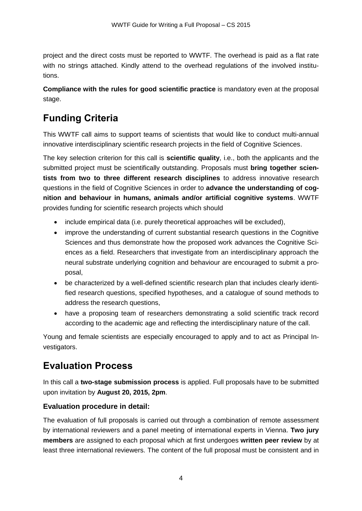project and the direct costs must be reported to WWTF. The overhead is paid as a flat rate with no strings attached. Kindly attend to the overhead regulations of the involved institutions.

**Compliance with the rules for good scientific practice** is mandatory even at the proposal stage.

# **Funding Criteria**

This WWTF call aims to support teams of scientists that would like to conduct multi-annual innovative interdisciplinary scientific research projects in the field of Cognitive Sciences.

The key selection criterion for this call is **scientific quality**, i.e., both the applicants and the submitted project must be scientifically outstanding. Proposals must **bring together scientists from two to three different research disciplines** to address innovative research questions in the field of Cognitive Sciences in order to **advance the understanding of cognition and behaviour in humans, animals and/or artificial cognitive systems**. WWTF provides funding for scientific research projects which should

- include empirical data (i.e. purely theoretical approaches will be excluded),
- improve the understanding of current substantial research questions in the Cognitive Sciences and thus demonstrate how the proposed work advances the Cognitive Sciences as a field. Researchers that investigate from an interdisciplinary approach the neural substrate underlying cognition and behaviour are encouraged to submit a proposal,
- be characterized by a well-defined scientific research plan that includes clearly identified research questions, specified hypotheses, and a catalogue of sound methods to address the research questions,
- have a proposing team of researchers demonstrating a solid scientific track record according to the academic age and reflecting the interdisciplinary nature of the call.

Young and female scientists are especially encouraged to apply and to act as Principal Investigators.

## **Evaluation Process**

In this call a **two-stage submission process** is applied. Full proposals have to be submitted upon invitation by **August 20, 2015, 2pm**.

#### **Evaluation procedure in detail:**

The evaluation of full proposals is carried out through a combination of remote assessment by international reviewers and a panel meeting of international experts in Vienna. **Two jury members** are assigned to each proposal which at first undergoes **written peer review** by at least three international reviewers. The content of the full proposal must be consistent and in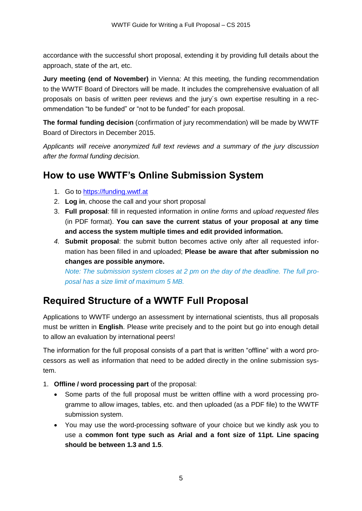accordance with the successful short proposal, extending it by providing full details about the approach, state of the art, etc.

**Jury meeting (end of November)** in Vienna: At this meeting, the funding recommendation to the WWTF Board of Directors will be made. It includes the comprehensive evaluation of all proposals on basis of written peer reviews and the jury´s own expertise resulting in a recommendation "to be funded" or "not to be funded" for each proposal.

**The formal funding decision** (confirmation of jury recommendation) will be made by WWTF Board of Directors in December 2015.

*Applicants will receive anonymized full text reviews and a summary of the jury discussion after the formal funding decision.*

## **How to use WWTF's Online Submission System**

- 1. Go to [https://funding.wwtf.at](https://funding.wwtf.at/)
- 2. **Log in**, choose the call and your short proposal
- 3. **Full proposal**: fill in requested information in *online forms* and *upload requested files* (in PDF format). **You can save the current status of your proposal at any time and access the system multiple times and edit provided information.**
- *4.* **Submit proposal**: the submit button becomes active only after all requested information has been filled in and uploaded; **Please be aware that after submission no changes are possible anymore.**

*Note: The submission system closes at 2 pm on the day of the deadline. The full proposal has a size limit of maximum 5 MB.*

# **Required Structure of a WWTF Full Proposal**

Applications to WWTF undergo an assessment by international scientists, thus all proposals must be written in **English**. Please write precisely and to the point but go into enough detail to allow an evaluation by international peers!

The information for the full proposal consists of a part that is written "offline" with a word processors as well as information that need to be added directly in the online submission system.

- 1. **Offline / word processing part** of the proposal:
	- Some parts of the full proposal must be written offline with a word processing programme to allow images, tables, etc. and then uploaded (as a PDF file) to the WWTF submission system.
	- You may use the word-processing software of your choice but we kindly ask you to use a **common font type such as Arial and a font size of 11pt. Line spacing should be between 1.3 and 1.5**.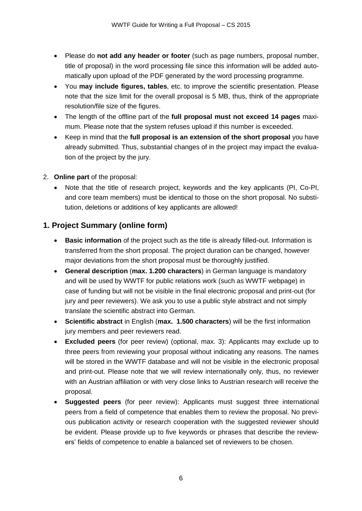- Please do **not add any header or footer** (such as page numbers, proposal number, title of proposal) in the word processing file since this information will be added automatically upon upload of the PDF generated by the word processing programme.
- You **may include figures, tables**, etc. to improve the scientific presentation. Please note that the size limit for the overall proposal is 5 MB, thus, think of the appropriate resolution/file size of the figures.
- The length of the offline part of the **full proposal must not exceed 14 pages** maximum. Please note that the system refuses upload if this number is exceeded.
- Keep in mind that the **full proposal is an extension of the short proposal** you have already submitted. Thus, substantial changes of in the project may impact the evaluation of the project by the jury.
- 2. **Online part** of the proposal:
	- Note that the title of research project, keywords and the key applicants (PI, Co-PI, and core team members) must be identical to those on the short proposal. No substitution, deletions or additions of key applicants are allowed!

## **1. Project Summary (online form)**

- **Basic information** of the project such as the title is already filled-out. Information is transferred from the short proposal. The project duration can be changed, however major deviations from the short proposal must be thoroughly justified.
- **General description** (**max. 1.200 characters**) in German language is mandatory and will be used by WWTF for public relations work (such as WWTF webpage) in case of funding but will not be visible in the final electronic proposal and print-out (for jury and peer reviewers). We ask you to use a public style abstract and not simply translate the scientific abstract into German.
- **Scientific abstract** in English (**max. 1.500 characters**) will be the first information jury members and peer reviewers read.
- **Excluded peers** (for peer review) (optional, max. 3): Applicants may exclude up to three peers from reviewing your proposal without indicating any reasons. The names will be stored in the WWTF database and will not be visible in the electronic proposal and print-out. Please note that we will review internationally only, thus, no reviewer with an Austrian affiliation or with very close links to Austrian research will receive the proposal.
- **Suggested peers** (for peer review): Applicants must suggest three international peers from a field of competence that enables them to review the proposal. No previous publication activity or research cooperation with the suggested reviewer should be evident. Please provide up to five keywords or phrases that describe the reviewers' fields of competence to enable a balanced set of reviewers to be chosen.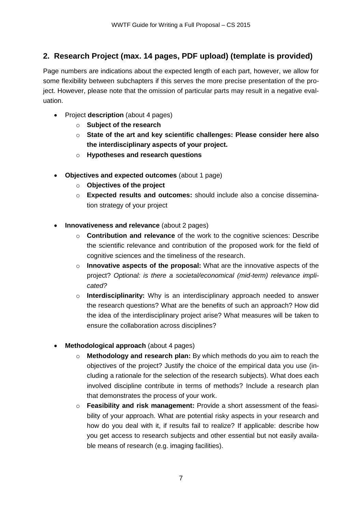## **2. Research Project (max. 14 pages, PDF upload) (template is provided)**

Page numbers are indications about the expected length of each part, however, we allow for some flexibility between subchapters if this serves the more precise presentation of the project. However, please note that the omission of particular parts may result in a negative evaluation.

- Project **description** (about 4 pages)
	- o **Subject of the research**
	- o **State of the art and key scientific challenges: Please consider here also the interdisciplinary aspects of your project.**
	- o **Hypotheses and research questions**
- **Objectives and expected outcomes** (about 1 page)
	- o **Objectives of the project**
	- o **Expected results and outcomes:** should include also a concise dissemination strategy of your project
- **Innovativeness and relevance** (about 2 pages)
	- o **Contribution and relevance** of the work to the cognitive sciences: Describe the scientific relevance and contribution of the proposed work for the field of cognitive sciences and the timeliness of the research.
	- o **Innovative aspects of the proposal:** What are the innovative aspects of the project? *Optional: is there a societal/economical (mid-term) relevance implicated?*
	- o **Interdisciplinarity:** Why is an interdisciplinary approach needed to answer the research questions? What are the benefits of such an approach? How did the idea of the interdisciplinary project arise? What measures will be taken to ensure the collaboration across disciplines?
- **Methodological approach** (about 4 pages)
	- o **Methodology and research plan:** By which methods do you aim to reach the objectives of the project? Justify the choice of the empirical data you use (including a rationale for the selection of the research subjects). What does each involved discipline contribute in terms of methods? Include a research plan that demonstrates the process of your work.
	- o **Feasibility and risk management:** Provide a short assessment of the feasibility of your approach. What are potential risky aspects in your research and how do you deal with it, if results fail to realize? If applicable: describe how you get access to research subjects and other essential but not easily available means of research (e.g. imaging facilities).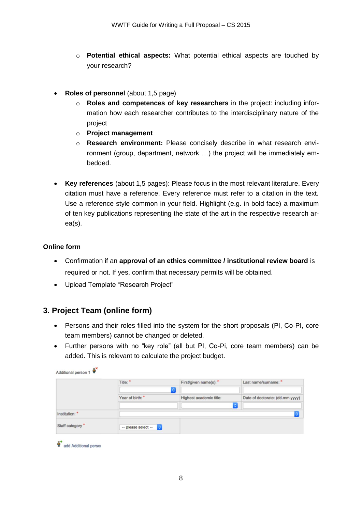- o **Potential ethical aspects:** What potential ethical aspects are touched by your research?
- **Roles of personnel** (about 1,5 page)
	- o **Roles and competences of key researchers** in the project: including information how each researcher contributes to the interdisciplinary nature of the project
	- o **Project management**
	- o **Research environment:** Please concisely describe in what research environment (group, department, network …) the project will be immediately embedded.
- **Key references** (about 1,5 pages): Please focus in the most relevant literature. Every citation must have a reference. Every reference must refer to a citation in the text. Use a reference style common in your field. Highlight (e.g. in bold face) a maximum of ten key publications representing the state of the art in the respective research area(s).

#### **Online form**

- Confirmation if an **approval of an ethics committee / institutional review board** is required or not. If yes, confirm that necessary permits will be obtained.
- Upload Template "Research Project"

#### **3. Project Team (online form)**

- Persons and their roles filled into the system for the short proposals (PI, Co-PI, core team members) cannot be changed or deleted.
- Further persons with no "key role" (all but PI, Co-Pi, core team members) can be added. This is relevant to calculate the project budget.

|                 | Title: *            | First/given name(s): *<br>C. | Last name/sumame: *             |
|-----------------|---------------------|------------------------------|---------------------------------|
|                 | Year of birth: *    | Highest academic title:      | Date of doctorate: (dd.mm.yyyy) |
| Institution: *  |                     |                              | ¢                               |
| Staff category* | -- please select -- |                              |                                 |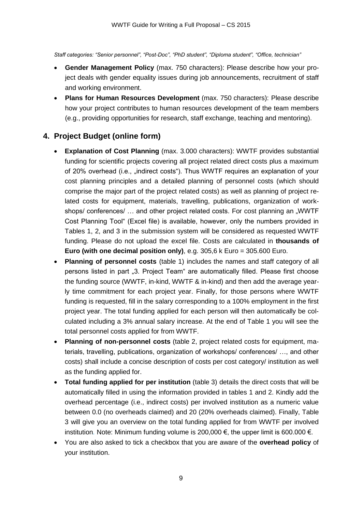*Staff categories: "Senior personnel", "Post-Doc", "PhD student", "Diploma student", "Office, technician"* 

- **Gender Management Policy** (max. 750 characters): Please describe how your project deals with gender equality issues during job announcements, recruitment of staff and working environment.
- **Plans for Human Resources Development** (max. 750 characters): Please describe how your project contributes to human resources development of the team members (e.g., providing opportunities for research, staff exchange, teaching and mentoring).

## **4. Project Budget (online form)**

- **Explanation of Cost Planning** (max. 3.000 characters): WWTF provides substantial funding for scientific projects covering all project related direct costs plus a maximum of 20% overhead (i.e., "indirect costs"). Thus WWTF requires an explanation of your cost planning principles and a detailed planning of personnel costs (which should comprise the major part of the project related costs) as well as planning of project related costs for equipment, materials, travelling, publications, organization of workshops/ conferences/ ... and other project related costs. For cost planning an "WWTF Cost Planning Tool" (Excel file) is available, however, only the numbers provided in Tables 1, 2, and 3 in the submission system will be considered as requested WWTF funding. Please do not upload the excel file. Costs are calculated in **thousands of Euro (with one decimal position only)**, e.g. 305,6 k Euro = 305.600 Euro.
- **Planning of personnel costs** (table 1) includes the names and staff category of all persons listed in part "3. Project Team" are automatically filled. Please first choose the funding source (WWTF, in-kind, WWTF & in-kind) and then add the average yearly time commitment for each project year. Finally, for those persons where WWTF funding is requested, fill in the salary corresponding to a 100% employment in the first project year. The total funding applied for each person will then automatically be colculated including a 3% annual salary increase. At the end of Table 1 you will see the total personnel costs applied for from WWTF.
- **Planning of non-personnel costs** (table 2, project related costs for equipment, materials, travelling, publications, organization of workshops/ conferences/ …, and other costs) shall include a concise description of costs per cost category/ institution as well as the funding applied for.
- **Total funding applied for per institution** (table 3) details the direct costs that will be automatically filled in using the information provided in tables 1 and 2. Kindly add the overhead percentage (i.e., indirect costs) per involved institution as a numeric value between 0.0 (no overheads claimed) and 20 (20% overheads claimed). Finally, Table 3 will give you an overview on the total funding applied for from WWTF per involved institution*.* Note: Minimum funding volume is 200,000 €, the upper limit is 600.000 €.
- You are also asked to tick a checkbox that you are aware of the **overhead policy** of your institution.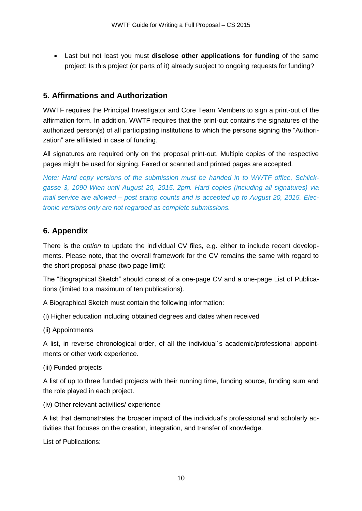Last but not least you must **disclose other applications for funding** of the same project: Is this project (or parts of it) already subject to ongoing requests for funding?

## **5. Affirmations and Authorization**

WWTF requires the Principal Investigator and Core Team Members to sign a print-out of the affirmation form. In addition, WWTF requires that the print-out contains the signatures of the authorized person(s) of all participating institutions to which the persons signing the "Authorization" are affiliated in case of funding.

All signatures are required only on the proposal print-out. Multiple copies of the respective pages might be used for signing. Faxed or scanned and printed pages are accepted.

*Note: Hard copy versions of the submission must be handed in to WWTF office, Schlickgasse 3, 1090 Wien until August 20, 2015, 2pm. Hard copies (including all signatures) via mail service are allowed – post stamp counts and is accepted up to August 20, 2015. Electronic versions only are not regarded as complete submissions.* 

## **6. Appendix**

There is the *option* to update the individual CV files, e.g. either to include recent developments. Please note, that the overall framework for the CV remains the same with regard to the short proposal phase (two page limit):

The "Biographical Sketch" should consist of a one-page CV and a one-page List of Publications (limited to a maximum of ten publications).

A Biographical Sketch must contain the following information:

(i) Higher education including obtained degrees and dates when received

(ii) Appointments

A list, in reverse chronological order, of all the individual´s academic/professional appointments or other work experience.

(iii) Funded projects

A list of up to three funded projects with their running time, funding source, funding sum and the role played in each project.

(iv) Other relevant activities/ experience

A list that demonstrates the broader impact of the individual's professional and scholarly activities that focuses on the creation, integration, and transfer of knowledge.

List of Publications: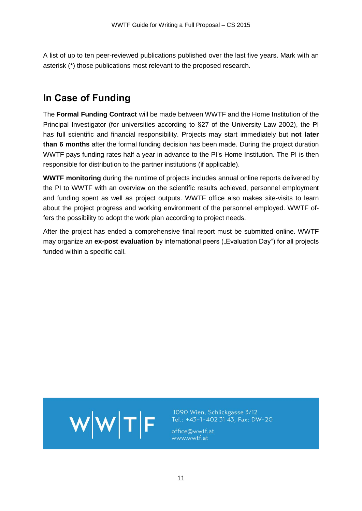A list of up to ten peer-reviewed publications published over the last five years. Mark with an asterisk (\*) those publications most relevant to the proposed research.

# **In Case of Funding**

The **Formal Funding Contract** will be made between WWTF and the Home Institution of the Principal Investigator (for universities according to §27 of the University Law 2002), the PI has full scientific and financial responsibility. Projects may start immediately but **not later than 6 months** after the formal funding decision has been made. During the project duration WWTF pays funding rates half a year in advance to the PI's Home Institution. The PI is then responsible for distribution to the partner institutions (if applicable).

**WWTF monitoring** during the runtime of projects includes annual online reports delivered by the PI to WWTF with an overview on the scientific results achieved, personnel employment and funding spent as well as project outputs. WWTF office also makes site-visits to learn about the project progress and working environment of the personnel employed. WWTF offers the possibility to adopt the work plan according to project needs.

After the project has ended a comprehensive final report must be submitted online. WWTF may organize an **ex-post evaluation** by international peers ("Evaluation Day") for all projects funded within a specific call.



1090 Wien, Schlickgasse 3/12 Tel.: +43-1-402 31 43, Fax: DW-20

office@wwtf.at www.wwtf.at